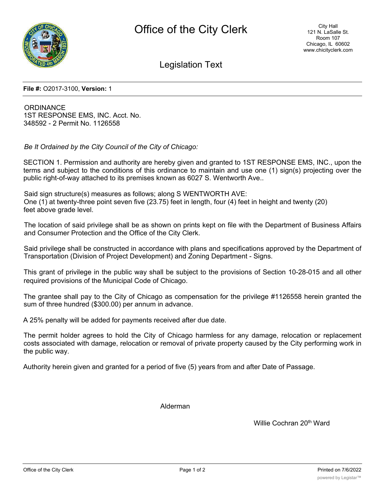

Legislation Text

**File #:** O2017-3100, **Version:** 1

**ORDINANCE** 1ST RESPONSE EMS, INC. Acct. No. 348592 - 2 Permit No. 1126558

*Be It Ordained by the City Council of the City of Chicago:*

SECTION 1. Permission and authority are hereby given and granted to 1ST RESPONSE EMS, INC., upon the terms and subject to the conditions of this ordinance to maintain and use one (1) sign(s) projecting over the public right-of-way attached to its premises known as 6027 S. Wentworth Ave..

Said sign structure(s) measures as follows; along S WENTWORTH AVE: One (1) at twenty-three point seven five (23.75) feet in length, four (4) feet in height and twenty (20) feet above grade level.

The location of said privilege shall be as shown on prints kept on file with the Department of Business Affairs and Consumer Protection and the Office of the City Clerk.

Said privilege shall be constructed in accordance with plans and specifications approved by the Department of Transportation (Division of Project Development) and Zoning Department - Signs.

This grant of privilege in the public way shall be subject to the provisions of Section 10-28-015 and all other required provisions of the Municipal Code of Chicago.

The grantee shall pay to the City of Chicago as compensation for the privilege #1126558 herein granted the sum of three hundred (\$300.00) per annum in advance.

A 25% penalty will be added for payments received after due date.

The permit holder agrees to hold the City of Chicago harmless for any damage, relocation or replacement costs associated with damage, relocation or removal of private property caused by the City performing work in the public way.

Authority herein given and granted for a period of five (5) years from and after Date of Passage.

Alderman

Willie Cochran 20<sup>th</sup> Ward